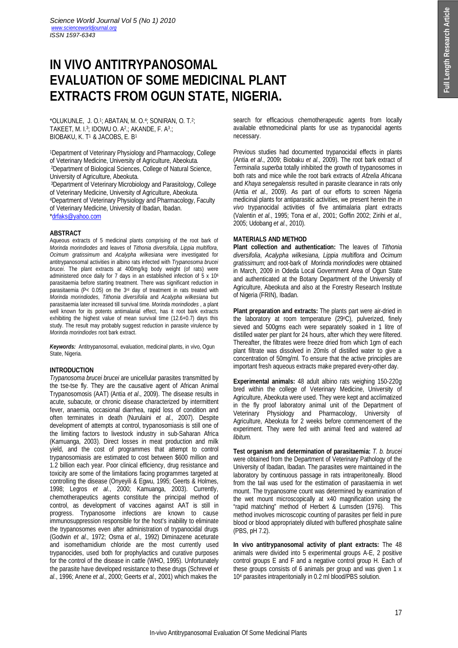# **IN VIVO ANTITRYPANOSOMAL EVALUATION OF SOME MEDICINAL PLANT EXTRACTS FROM OGUN STATE, NIGERIA.**

 $*$ OLUKUNLE, J. O.<sup>1</sup>; ABATAN, M. O.<sup>4</sup>; SONIRAN, O. T.<sup>2</sup>; TAKEET, M. I.<sup>3</sup> ; IDOWU O. A<sup>2</sup> .; AKANDE, F. A<sup>3</sup> .; BIOBAKU, K. T <sup>1</sup>& JACOBS, E. B<sup>1</sup>

<sup>1</sup>Department of Veterinary Physiology and Pharmacology, College of Veterinary Medicine, University of Agriculture, Abeokuta. <sup>2</sup>Department of Biological Sciences, College of Natural Science, University of Agriculture, Abeokuta.

<sup>3</sup>Department of Veterinary Microbiology and Parasitology, College of Veterinary Medicine, University of Agriculture, Abeokuta. <sup>4</sup>Department of Veterinary Physiology and Pharmacology, Faculty of Veterinary Medicine, University of Ibadan, Ibadan. \*drfaks@yahoo.com

### **ABSTRACT**

Aqueous extracts of 5 medicinal plants comprising of the root bark of *Morinda morindiodes* and leaves of *Tithonia diversifolia*, *Lippia multiflora*, *Ocimum gratissimum* and *Acalypha wilkesiana* were investigated for antitrypanosomal activities in albino rats infected with *Trypanosoma brucei brucei*. The plant extracts at 400mg/kg body weight (of rats) were administered once daily for 7 days in an established infection of 5 x 10<sup>6</sup> parasitaemia before starting treatment. There was significant reduction in parasitaemia (P< 0.05) on the 3rd day of treatment in rats treated with *Morinda morindiodes*, *Tithonia diversifolia* and *Acalypha wilkesiana* but parasitaemia later increased till survival time. *Morinda morindiodes* , a plant well known for its potents antimalarial effect, has it root bark extracts exhibiting the highest value of mean survival time (12.6+0.7) days this study. The result may probably suggest reduction in parasite virulence by *Morinda morindiodes* root bark extract.

*Keywords:*Antitrypanosomal, evaluation, medicinal plants, in vivo, Ogun State, Nigeria.

# **INTRODUCTION**

*Trypanosoma brucei brucei* are unicellular parasites transmitted by the tse-tse fly. They are the causative agent of African Animal Trypanosomosis (AAT) (Antia *et al*., 2009). The disease results in acute, subacute, or chronic disease characterized by intermittent fever, anaemia, occasional diarrhea, rapid loss of condition and often terminates in death (Nurulaini *et al.,* 2007). Despite development of attempts at control, trypanosomiasis is still one of the limiting factors to livestock industry in sub-Saharan Africa (Kamuanga, 2003). Direct losses in meat production and milk yield, and the cost of programmes that attempt to control trypanosomiasis are estimated to cost between \$600 million and 1.2 billion each year. Poor clinical efficiency, drug resistance and toxicity are some of the limitations facing programmes targeted at controlling the disease (Onyeyili & Egwu, 1995; Geerts & Holmes, 1998; Legros *et al*., 2000; Kamuanga, 2003). Currently, chemotherapeutics agents constitute the principal method of control, as development of vaccines against AAT is still in progress. Trypanosome infections are known to cause immunosuppression responsible for the host's inability to eliminate the trypanosomes even after administration of trypanocidal drugs (Godwin *et al.,* 1972; Osma *et al.,* 1992) Diminazene aceturate and isomethamidium chloride are the most currently used trypanocides, used both for prophylactics and curative purposes for the control of the disease in cattle (WHO, 1995). Unfortunately the parasite have developed resistance to these drugs (Schrevel *et al*., 1996; Anene *et al*., 2000; Geerts *et al.,* 2001) which makes the

search for efficacious chemotherapeutic agents from locally available ethnomedicinal plants for use as trypanocidal agents necessary.

Previous studies had documented trypanocidal effects in plants (Antia *et al*., 2009; Biobaku *et al.*, 2009). The root bark extract of *Terminalia superba* totally inhibited the growth of trypanosomes in both rats and mice while the root bark extracts of *Afzelia Africana* and *Khaya senegalensis* resulted in parasite clearance in rats only (Antia *et al.,* 2009). As part of our efforts to screen Nigeria medicinal plants for antiparasitic activities, we present herein the *in vivo* trypanocidal activities of five antimalaria plant extracts (Valentin *et al.*, 1995; Tona *et al.,* 2001; Goffin 2002; Zirihi *et al.,* 2005; Udobang *et al.,* 2010).

# **MATERIALS AND METHOD**

**Plant collection and authentication:** The leaves of *Tithonia diversifolia*, *Acalypha wilkesiana*, *Lippia multiflora* and *Ocimum gratissimum;* and root-bark of *Morinda morindiodes* were obtained in March, 2009 in Odeda Local Government Area of Ogun State and authenticated at the Botany Department of the University of Agriculture, Abeokuta and also at the Forestry Research Institute of Nigeria (FRIN), Ibadan.

**Plant preparation and extracts:** The plants part were air-dried in the laboratory at room temperature (29oC), pulverized, finely sieved and 500gms each were separately soaked in 1 litre of distilled water per plant for 24 hours, after which they were filtered. Thereafter, the filtrates were freeze dried from which 1gm of each plant filtrate was dissolved in 20mls of distilled water to give a concentration of 50mg/ml. To ensure that the active principles are important fresh aqueous extracts make prepared every-other day.

**Experimental animals:** 48 adult albino rats weighing 150-220g bred within the college of Veterinary Medicine, University of Agriculture, Abeokuta were used. They were kept and acclimatized in the fly proof laboratory animal unit of the Department of Veterinary Physiology and Pharmacology, University of Agriculture, Abeokuta for 2 weeks before commencement of the experiment. They were fed with animal feed and watered *ad libitum.*

**Test organism and determination of parasitaemia:** *T. b. brucei* were obtained from the Department of Veterinary Pathology of the University of Ibadan, Ibadan. The parasites were maintained in the laboratory by continuous passage in rats intraperitoneally. Blood from the tail was used for the estimation of parasitaemia in wet mount. The trypanosome count was determined by examination of the wet mount microscopically at x40 magnification using the "rapid matching" method of Herbert & Lumsden (1976). This method involves microscopic counting of parasites per field in pure blood or blood appropriately diluted with buffered phosphate saline (PBS, pH 7.2).

**In vivo antitrypanosomal activity of plant extracts:** The 48 animals were divided into 5 experimental groups A-E, 2 positive control groups E and F and a negative control group H. Each of these groups consists of 6 animals per group and was given 1 x 10<sup>4</sup> parasites intraperitonially in 0.2 ml blood/PBS solution.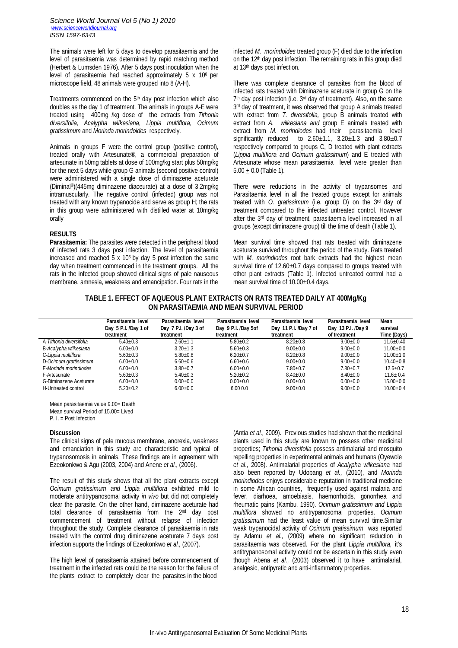The animals were left for 5 days to develop parasitaemia and the level of parasitaemia was determined by rapid matching method (Herbert & Lumsden 1976). After 5 days post inoculation when the level of parasitaemia had reached approximately 5 x 106 per microscope field, 48 animals were grouped into 8 (A-H).

Treatments commenced on the 5<sup>th</sup> day post infection which also doubles as the day 1 of treatment. The animals in groups A-E were treated using 400mg /kg dose of the extracts from *Tithonia diversifolia, Acalypha wilkesiana, Lippia multiflora, Ocimum gratissimum* and *Morinda morindoides* respectively.

Animals in groups F were the control group (positive control), treated orally with Artesunate®, a commercial preparation of artesunate in 50mg tablets at dose of 100mg/kg start plus 50mg/kg for the next 5 days while group G animals (second positive control) were administered with a single dose of diminazene aceturate (Diminal®)(445mg diminazene diaceurate) at a dose of 3.2mg/kg intramuscularly. The negative control (infected) group was not treated with any known trypanocide and serve as group H; the rats in this group were administered with distilled water at 10mg/kg orally

## **RESULTS**

**Parasitaemia:** The parasites were detected in the peripheral blood of infected rats 3 days post infection. The level of parasitaemia increased and reached  $5 \times 10^6$  by day 5 post infection the same day when treatment commenced in the treatment groups. All the rats in the infected group showed clinical signs of pale nauseous membrane, amnesia, weakness and emancipation. Four rats in the infected *M. morindoides* treated group (F) died due to the infection on the 12<sup>th</sup> day post infection. The remaining rats in this group died at 13th days post infection.

There was complete clearance of parasites from the blood of infected rats treated with Diminazene aceturate in group G on the 7<sup>th</sup> day post infection (i.e. 3<sup>rd</sup> day of treatment). Also, on the same 3<sup>rd</sup> day of treatment, it was observed that group A animals treated with extract from *T. diversifolia*, group B animals treated with extract from *A. wilkesiana and* group E animals treated with extract from *M. morindiodes* had their parasitaemia level significantly reduced to  $2.60 \pm 1.1$ ,  $3.20 \pm 1.3$  and  $3.80 \pm 0.7$ respectively compared to groups C, D treated with plant extracts (*Lippia multiflora* and *Ocimum gratissimum*) and E treated with Artesunate whose mean parasitaemia level were greater than  $5.00 + 0.0$  (Table 1).

There were reductions in the activity of trypansomes and Parasitaemia level in all the treated groups except for animals treated with *O. gratissimum* (i.e. group D) on the 3rd day of treatment compared to the infected untreated control. However after the 3rd day of treatment, parasitaemia level increased in all groups (except diminazene group) till the time of death (Table 1).

Mean survival time showed that rats treated with diminazene aceturate survived throughout the period of the study. Rats treated with *M. morindiodes* root bark extracts had the highest mean survival time of 12.60±0.7 days compared to groups treated with other plant extracts (Table 1). Infected untreated control had a mean survival time of 10.00±0.4 days.

# **TABLE 1. EFFECT OF AQUEOUS PLANT EXTRACTS ON RATS TREATED DAILY AT 400Mg/Kg ON PARASITAEMIA AND MEAN SURVIVAL PERIOD**

|                         | Parasitaemia level<br>Day 5 P.I. /Day 1 of<br>treatment | Parasitaemia level<br>Day 7 P.I. /Day 3 of<br>treatment | Parasitaemia level<br>Day 9 P.I. /Day 5of<br>treatment | Parasitaemia level<br>Day 11 P.I. /Day 7 of<br>treatment | Parasitaemia level<br>Day 13 P.I. /Day 9<br>of treatment | Mean<br>survival<br>Time (Days) |
|-------------------------|---------------------------------------------------------|---------------------------------------------------------|--------------------------------------------------------|----------------------------------------------------------|----------------------------------------------------------|---------------------------------|
| A-Tithonia diversifolia | $5.40 + 0.3$                                            | $2.60 + 1.1$                                            | $5.80 + 0.2$                                           | $8.20 + 0.8$                                             | $9.00 \pm 0.0$                                           | $11.6 + 0.40$                   |
| B-Acalypha wilkesiana   | $6.00 \pm 0.0$                                          | $3.20 + 1.3$                                            | $5.60 + 0.3$                                           | $9.00 + 0.0$                                             | $9.00 + 0.0$                                             | $11.00 + 0.0$                   |
| C-Lippia multiflora     | $5.60 + 0.3$                                            | $5.80 + 0.8$                                            | $6.20 + 0.7$                                           | $8.20 + 0.8$                                             | $9.00 + 0.0$                                             | $11.00 + 1.0$                   |
| D-Ocimum grattissimum   | $6.00 \pm 0.0$                                          | $6.60 \pm 0.6$                                          | $6.60 + 0.6$                                           | $9.00 + 0.0$                                             | $9.00 + 0.0$                                             | $10.40 + 0.8$                   |
| E-Morinda morindiodes   | $6.00 + 0.0$                                            | $3.80 + 0.7$                                            | $6.00 + 0.0$                                           | $7.80 + 0.7$                                             | $7.80 + 0.7$                                             | $12.6 + 0.7$                    |
| F-Artesunate            | $5.60 + 0.3$                                            | $5.40+0.3$                                              | $5.20 + 0.2$                                           | $8.40 + 0.0$                                             | $8.40 + 0.0$                                             | $11.6 + 0.4$                    |
| G-Diminazene Aceturate  | $6.00 + 0.0$                                            | $0.00 + 0.0$                                            | $0.00 + 0.0$                                           | $0.00 + 0.0$                                             | $0.00 \pm 0.0$                                           | $15.00 + 0.0$                   |
| H-Untreated control     | $5.20 \pm 0.2$                                          | $6.00 \pm 0.0$                                          | 6.000.0                                                | $9.00 \pm 0.0$                                           | $9.00 \pm 0.0$                                           | $10.00 \pm 0.4$                 |

Mean parasitaemia value 9.00= Death Mean survival Period of 15.00= Lived

P. I. = Post Infection

#### **Discussion**

The clinical signs of pale mucous membrane, anorexia, weakness and emanciation in this study are characteristic and typical of trypanosomosis in animals. These findings are in agreement with Ezeokonkwo & Agu (2003, 2004) and Anene *et al*., (2006).

The result of this study shows that all the plant extracts except *Ocimum gratissimum and Lippia multiflora* exhibited mild to moderate antitrypanosomal activity *in vivo* but did not completely clear the parasite. On the other hand, diminazene aceturate had total clearance of parasitaemia from the 2<sup>nd</sup> day post commencement of treatment without relapse of infection throughout the study. Complete clearance of parasitaemia in rats treated with the control drug diminazene aceturate 7 days post infection supports the findings of Ezeokonkwo *et al.,* (2007).

The high level of parasitaemia attained before commencement of treatment in the infected rats could be the reason for the failure of the plants extract to completely clear the parasites in the blood

(Antia *et al.,* 2009). Previous studies had shown that the medicinal plants used in this study are known to possess other medicinal properties; *Tithonia diversifolia* possess antimalarial and mosquito repelling properties in experimental animals and humans (Oyewole *et al*., 2008). Antimalarial properties of *Acalypha wilkesiana* had also been reported by Udobang *et al.,* (2010), and *Morinda morindiodes* enjoys considerable reputation in traditional medicine in some African countries, frequently used against malaria and fever, diarhoea, amoebiasis, haemorrhoids, gonorrhea and rheumatic pains (Kambu, 1990). *Ocimum gratissimum and Lippia multiflora* showed no antitrypanosomal properties. *Ocimum gratissimum* had the least value of mean survival time.Similar weak trypanocidal activity of *Ocimum gratissimum* was reported by Adamu *et al.,* (2009) where no significant reduction in parasitaemia was observed. For the plant *Lippia multiflora,* it's antitrypanosomal activity could not be ascertain in this study even though Abena *et al.,* (2003) observed it to have antimalarial, analgesic, antipyretic and anti-inflammatory properties.